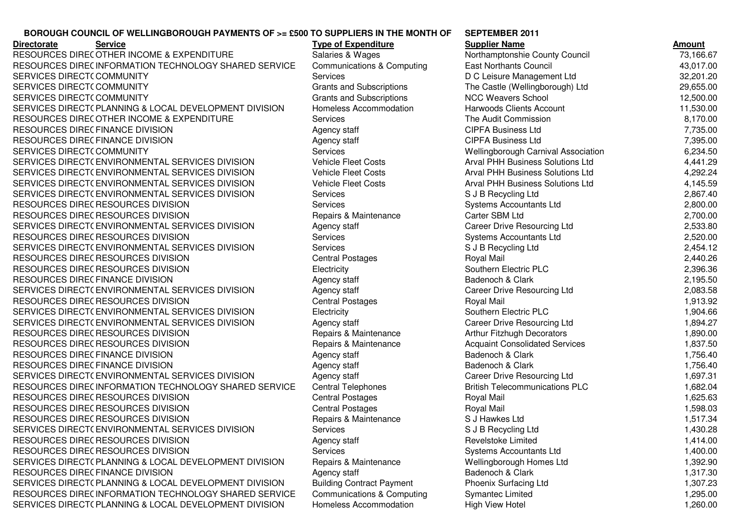## **BOROUGH COUNCIL OF WELLINGBOROUGH PAYMENTS OF >= £500 TO SUPPLIERS IN THE MONTH OF**

**Directorate**RESOURCES DIRECOTHER INCOME & EXPENDITURE Salaries & Wages Northamptonshie County Council 73,166.67<br>RESOURCES DIRECTORATION TEQUIOLOGY QUARER SERVICE OF SALARIES AND SOLUTION TO ALL ARABIAS RESOURCES DIREC INFORMATION TECHNOLOGY SHARED SERVICE Communications & Computing East Northants Council 43,017.00<br>CERVICES RIPESTS COMMUNITY SERVICES DIRECT(COMMUNITY SERVICES DIRECT(COMMUNITY SERVICES DIRECT(COMMUNITY SERVICES DIRECT( PLANNING & LOCAL DEVELOPMENT DIVISION Homeless Accommodation Harwoods Clients Account 11,530.00<br>RESOLUDAES RUES OT LER NIQQUE A EVERUPITURE RESOURCES DIREC OTHER INCOME & EXPENDITURE Services The Audit Commission 8,170.00<br>RESOURCES DIRECTIVANCE DIVISION RESOURCES DIRECFINANCE DIVISION<br>RESOURCES RIBECTIVALLE BIVISION RESOURCES DIRECFINANCE DIVISION<br>CERVICES DIRECT( COMMUNITY) SERVICES DIRECT(COMMUNITY SERVICES DIRECT( ENVIRONMENTAL SERVICES DIVISION Vehicle Fleet Costs Arval PHH Business Solutions Ltd 4,441.29<br>Array of the Solutions of the Cost of the Costs Array of the Costs Array of the Costs Array of the Cost of the SERVICES DIRECT( ENVIRONMENTAL SERVICES DIVISION Vehicle Fleet Costs Arval PHH Business Solutions Ltd 4,292.24<br>Arraignment Contrations of Divisions Arraignment of Divisions Arraignment of the Contrations of the Contration SERVICES DIRECT( ENVIRONMENTAL SERVICES DIVISION Vehicle Fleet Costs Arval PHH Business Solutions Ltd 4,145.59<br>Case are arrived by the cost of the cost of the cost of the cost of the cost of the cost of the cost of the co SERVICES DIRECT( ENVIRONMENTAL SERVICES DIVISION Services Superior Superior Superior Superior Superior States o<br>DESCUDATE ELECTRICATE EN VALOU RESOURCES DIRECRESOURCES DIVISION RESOURCES DIRECRESOURCES DIVISION SERVICES DIRECT( ENVIRONMENTAL SERVICES DIVISION Agency staff Career Drive Resourcing Ltd 2,533.80<br>RESOLUTATE RESOLUTATE RIVIOLAL AGENCY RESOURCES DIRECRESOURCES DIVISION SERVICES DIRECT( ENVIRONMENTAL SERVICES DIVISION Services S J B Recycling Ltd 2,454.12<br>DESCUDATE ELECTRICATE ENVIRON RESOURCES DIRECRESOURCES DIVISION RESOURCES DIRECTOROURCES DIVISION Electricity Electricity Southern Electric PLC<br>RESOURCES DIRECTIVINGE RIVISION RESOURCES DIRECFINANCE DIVISION<br>CERVICES DIRECTATIVIDOMIENTAL SERVICES DIRECT( ENVIRONMENTAL SERVICES DIVISION Agency staff Career Drive Resourcing Ltd 2,083.58<br>RESOURCES RIFES RESOURCES RIVISION RESOURCES DIRECRESOURCES DIVISION SERVICES DIRECT( ENVIRONMENTAL SERVICES DIVISION Flectricity Electricity Southern Electric PLC<br>CERVICES RIPEST( ENVIRONMENTAL SERVICES RIVISION SERVICES DIRECT( ENVIRONMENTAL SERVICES DIVISION Agency staff Career Drive Resourcing Ltd 1,894.27<br>RESOURCES RIFES RESOURCES RIVISION RESOURCES DIRECRESOURCES DIVISION RESOURCES DIRECRESOURCES DIVISION RESOURCES DIRECFINANCE DIVISION<br>RESOURCES RIBECTIVALLE BIVISION RESOURCES DIRECFINANCE DIVISION<br>CERVICES DIRECTATIVIDOMIENTAL SERVICES DIRECT( ENVIRONMENTAL SERVICES DIVISION Agency staff Career Drive Resourcing Ltd 1,697.31<br>RESOURCES RIFES INFORMATION TEQUINOL QOV QUARER OF DIVISIT AGO ALLITALIANI DI RALLITALIANI DI OLOGO ALLIGORALI RESOURCES DIREC INFORMATION TECHNOLOGY SHARED SERVICE Central Telephones British Telecommunications PLC 1,682.04<br>RESOURCES RIBES RESOURCES BUISICU RESOURCES DIRECRESOURCES DIVISION RESOURCES DIRECRESOURCES DIVISION RESOURCES DIRECRESOURCES DIVISION SERVICES DIRECT( ENVIRONMENTAL SERVICES DIVISION Services Superior Services S J B Recycling Ltd 1,430.28<br>RECOURSES RIFES RESOURCES RIVISION RESOURCES DIRECRESOURCES DIVISION RESOURCES DIRECRESOURCES DIVISION SERVICES DIRECT(PLANNING & LOCAL DEVELOPMENT DIVISION Repairs & Maintenance Wellingborough Homes Ltd 1,392.90<br>RESOLUDAES RIPES FILLINISE RIVISION RESOURCES DIRECFINANCE DIVISION<br>CERVICES DIRECTORATUMING & LOOM SERVICES DIRECT(PLANNING & LOCAL DEVELOPMENT DIVISION Building Contract Payment Phoenix Surfacing Ltd 1,307.23<br>RESOLUDAES RIPES INFORMATION TESLINGLOOV SUARER SERVICE OF SOLUTIONS OF SOLUTIONS OF SOLUTIONS OF SOLUTION ASS RESOURCES DIREC INFORMATION TECHNOLOGY SHARED SERVICE Communications & Computing Symantec Limited 1,295.00 1,295.00<br>CERVICES RIPESTS NANUUS & LOCAL REVELORMENT RIVICION SERVICES DIRECT( PLANNING & LOCAL DEVELOPMENT DIVISION Homeless Accommodation High View Hotel 1,260.00

| IGH COUNCIL OF WELLINGBOROUGH PAYMENTS OF >= £500 TO SUPPLIERS IN THE MONTH OF | <b>SEPTEMBER 2011</b>            |                                       |               |
|--------------------------------------------------------------------------------|----------------------------------|---------------------------------------|---------------|
| <b>Service</b>                                                                 | <b>Type of Expenditure</b>       | <b>Supplier Name</b>                  | <u>Amount</u> |
| ES DIRECOTHER INCOME & EXPENDITURE                                             | Salaries & Wages                 | Northamptonshie County Council        | 73,166.67     |
| ES DIREC INFORMATION TECHNOLOGY SHARED SERVICE                                 | Communications & Computing       | <b>East Northants Council</b>         | 43,017.00     |
| S DIRECT(COMMUNITY                                                             | <b>Services</b>                  | D C Leisure Management Ltd            | 32,201.20     |
| S DIRECT(COMMUNITY                                                             | <b>Grants and Subscriptions</b>  | The Castle (Wellingborough) Ltd       | 29,655.00     |
| S DIRECT(COMMUNITY                                                             | Grants and Subscriptions         | <b>NCC Weavers School</b>             | 12,500.00     |
| S DIRECT( PLANNING & LOCAL DEVELOPMENT DIVISION                                | Homeless Accommodation           | Harwoods Clients Account              | 11,530.00     |
| ES DIRECOTHER INCOME & EXPENDITURE                                             | <b>Services</b>                  | The Audit Commission                  | 8,170.00      |
| ES DIREC FINANCE DIVISION                                                      | Agency staff                     | <b>CIPFA Business Ltd</b>             | 7,735.00      |
| ES DIREC FINANCE DIVISION                                                      | Agency staff                     | <b>CIPFA Business Ltd</b>             | 7,395.00      |
| S DIRECT(COMMUNITY                                                             | Services                         | Wellingborough Carnival Association   | 6,234.50      |
| S DIRECT(ENVIRONMENTAL SERVICES DIVISION                                       | <b>Vehicle Fleet Costs</b>       | Arval PHH Business Solutions Ltd      | 4,441.29      |
| S DIRECT( ENVIRONMENTAL SERVICES DIVISION                                      | <b>Vehicle Fleet Costs</b>       | Arval PHH Business Solutions Ltd      | 4,292.24      |
| S DIRECT( ENVIRONMENTAL SERVICES DIVISION                                      | <b>Vehicle Fleet Costs</b>       | Arval PHH Business Solutions Ltd      | 4,145.59      |
| S DIRECT( ENVIRONMENTAL SERVICES DIVISION                                      | <b>Services</b>                  | S J B Recycling Ltd                   | 2,867.40      |
| ES DIREC RESOURCES DIVISION                                                    | <b>Services</b>                  | Systems Accountants Ltd               | 2,800.00      |
| <b>ES DIREC RESOURCES DIVISION</b>                                             | Repairs & Maintenance            | Carter SBM Ltd                        | 2,700.00      |
| S DIRECT(ENVIRONMENTAL SERVICES DIVISION                                       | Agency staff                     | Career Drive Resourcing Ltd           | 2,533.80      |
| <b>ES DIREC RESOURCES DIVISION</b>                                             | Services                         | Systems Accountants Ltd               | 2,520.00      |
| S DIRECT( ENVIRONMENTAL SERVICES DIVISION                                      | <b>Services</b>                  | S J B Recycling Ltd                   | 2,454.12      |
| <b>ES DIREC RESOURCES DIVISION</b>                                             | <b>Central Postages</b>          | Royal Mail                            | 2,440.26      |
| ES DIREC RESOURCES DIVISION                                                    | Electricity                      | Southern Electric PLC                 | 2,396.36      |
| <b>ES DIREC FINANCE DIVISION</b>                                               | Agency staff                     | Badenoch & Clark                      | 2,195.50      |
| S DIRECT(ENVIRONMENTAL SERVICES DIVISION                                       | Agency staff                     | Career Drive Resourcing Ltd           | 2,083.58      |
| ES DIREC RESOURCES DIVISION                                                    | <b>Central Postages</b>          | Royal Mail                            | 1,913.92      |
| S DIRECT( ENVIRONMENTAL SERVICES DIVISION                                      | Electricity                      | Southern Electric PLC                 | 1,904.66      |
| S DIRECT( ENVIRONMENTAL SERVICES DIVISION                                      | Agency staff                     | Career Drive Resourcing Ltd           | 1,894.27      |
| ES DIREC RESOURCES DIVISION                                                    | Repairs & Maintenance            | Arthur Fitzhugh Decorators            | 1,890.00      |
| ES DIREC RESOURCES DIVISION                                                    | Repairs & Maintenance            | <b>Acquaint Consolidated Services</b> | 1,837.50      |
| ES DIREC FINANCE DIVISION                                                      | Agency staff                     | Badenoch & Clark                      | 1,756.40      |
| <b>ES DIRECFINANCE DIVISION</b>                                                | Agency staff                     | Badenoch & Clark                      | 1,756.40      |
| S DIRECT( ENVIRONMENTAL SERVICES DIVISION                                      | Agency staff                     | <b>Career Drive Resourcing Ltd</b>    | 1,697.31      |
| ES DIREC INFORMATION TECHNOLOGY SHARED SERVICE                                 | <b>Central Telephones</b>        | <b>British Telecommunications PLC</b> | 1,682.04      |
| ES DIREC RESOURCES DIVISION                                                    | <b>Central Postages</b>          | Royal Mail                            | 1,625.63      |
| ES DIREC RESOURCES DIVISION                                                    | <b>Central Postages</b>          | Royal Mail                            | 1,598.03      |
| <b>ES DIREC RESOURCES DIVISION</b>                                             | Repairs & Maintenance            | S J Hawkes Ltd                        | 1,517.34      |
| S DIRECT(ENVIRONMENTAL SERVICES DIVISION                                       | Services                         | S J B Recycling Ltd                   | 1,430.28      |
| ES DIREC RESOURCES DIVISION                                                    | Agency staff                     | Revelstoke Limited                    | 1,414.00      |
| <b>ES DIREC RESOURCES DIVISION</b>                                             | Services                         | <b>Systems Accountants Ltd</b>        | 1,400.00      |
| S DIRECT( PLANNING & LOCAL DEVELOPMENT DIVISION                                | Repairs & Maintenance            | Wellingborough Homes Ltd              | 1,392.90      |
| ES DIREC FINANCE DIVISION                                                      | Agency staff                     | Badenoch & Clark                      | 1,317.30      |
| S DIRECT( PLANNING & LOCAL DEVELOPMENT DIVISION                                | <b>Building Contract Payment</b> | Phoenix Surfacing Ltd                 | 1,307.23      |
| ES DIREC INFORMATION TECHNOLOGY SHARED SERVICE                                 | Communications & Computing       | Symantec Limited                      | 1,295.00      |
| S DIRECT( PLANNING & LOCAL DEVELOPMENT DIVISION                                | Homeless Accommodation           | <b>High View Hotel</b>                | 1.260.00      |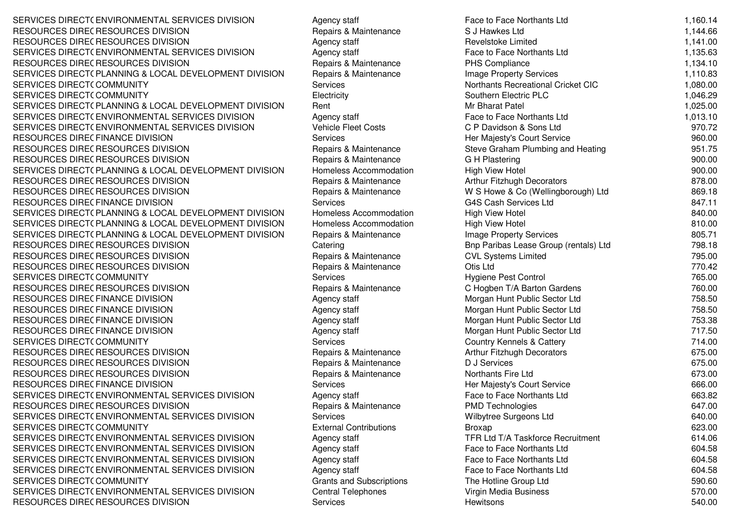SERVICES DIRECT( ENVIRONMENTAL SERVICES DIVISION Agency staff Face Face to Face Northants Ltd 1,160.14<br>RESOLUTATE RESOLUTATE RIVIOLAL RESOURCES DIRECRESOURCES DIVISION RESOURCES DIRECRESOURCES DIVISION SERVICES DIRECT( ENVIRONMENTAL SERVICES DIVISION Agency staff Face Face to Face Northants Ltd 1,135.63<br>RESOLUTATE REFERENCES RIVIOLAL RESOURCES DIRECRESOURCES DIVISION SERVICES DIRECT(PLANNING & LOCAL DEVELOPMENT DIVISION Repairs & Maintenance Image Property Services 1,110.83<br>CERVICES RIPESTS COMMUNITY SERVICES DIRECT(COMMUNITY SERVICES DIRECT(COMMUNITY SERVICES DIRECT( COMMUNITY **Electricity Four Direct Alternation** Southern Electric PLC 1,046.29<br>SERVICES DIRECT( PLANNING & LOCAL DEVELOPMENT DIVISION Rent Matel 1,025.00<br>CERVICES DIRECT( PLANNING & LOCAL DEDVICES DIVISION SERVICES DIRECT( ENVIRONMENTAL SERVICES DIVISION Agency staff Face to Face to Face Northants Ltd 1,013.10<br>CERVICES DIRECTS ENVIRONMENTAL SERVICES DIVISION NATIONALES IN LIGHT ASSESSED TO A RELATED A CONTRATION OF SER SERVICES DIRECT( ENVIRONMENTAL SERVICES DIVISION Vehicle Fleet Costs CP Davidson & Sons Ltd 970.72<br>DESCUDATE RIFECTIVINAE RIVICION RESOURCES DIRECFINANCE DIVISION<br>RESOURCES RIPECREQOURCES BIVIS RESOURCES DIRECRESOURCES DIVISION RESOURCES DIRECRESOURCES DIVISION SERVICES DIRECT( PLANNING & LOCAL DEVELOPMENT DIVISION Homeless Accommodation High View Hotel 900.00<br>RESOLUTATE RESOLUTATE RIVIOLAL RESOURCES DIRECRESOURCES DIVISION RESOURCES DIRECRESOURCES DIVISION RESOURCES DIRECFINANCE DIVISION<br>CERVICES DIRECTORATUMING & LOOM SERVICES DIRECT( PLANNING & LOCAL DEVELOPMENT DIVISION Homeless Accommodation High View Hotel 840.00<br>CERVICES RIBEST( RUNIUM & LOCAL REVELOPMENT RIVISION HIGH AT LINE OF LINE OF LINE IN LINE OF LINE OF LINE OF L SERVICES DIRECT( PLANNING & LOCAL DEVELOPMENT DIVISION Homeless Accommodation High View Hotel 810.00<br>CERVICES RIBESTS RUNIUS & LOCAL REVELOPMENT RIVISION REVELOPMENT DIVISION REVELOPMENT DI SOLTINE SERVICES DIRECT(PLANNING & LOCAL DEVELOPMENT DIVISION Repairs & Maintenance Image Property Services 805.71 (1990)<br>RESOLUDAES RIPES RESOLUDAES RIVISION RESOLU RESOURCES DIRECRESOURCES DIVISION RESOURCES DIRECRESOURCES DIVISION RESOURCES DIRECRESOURCES DIVISION SERVICES DIRECT(COMMUNITY RESOURCES DIRECRESOURCES DIVISION RESOURCES DIRECFINANCE DIVISION<br>RESOURCES RIBECTIVALLE BIVISION RESOURCES DIRECFINANCE DIVISION<br>RESOURCES RIBECTIVALLE BIVISION RESOURCES DIRECFINANCE DIVISION<br>RESOURCES RIBECTIVALLE BIVISION RESOURCES DIRECFINANCE DIVISION<br>CERVICES DIRECT( COMMUNITY) SERVICES DIRECT(COMMUNITY RESOURCES DIRECRESOURCES DIVISION RESOURCES DIRECRESOURCES DIVISION RESOURCES DIRECRESOURCES DIVISION RESOURCES DIRECFINANCE DIVISION<br>CERVICES DIRECTATIVIDOMIENTAL SERVICES DIRECT( ENVIRONMENTAL SERVICES DIVISION Agency staff Face to Face to Face Northants Ltd 663.82<br>RESOLUTATE REFERENCIALE RESOLUTION AND RESOLUTION RESOURCES DIRECRESOURCES DIVISION SERVICES DIRECT( ENVIRONMENTAL SERVICES DIVISION Services Wilbytree Surgeons Ltd 640.00<br>CERVICES DIRECT( CONVILUITY CASSES SERVICES DIRECT(COMMUNITY SERVICES DIRECT( ENVIRONMENTAL SERVICES DIVISION Agency staff TER Ltd T/A Taskforce Recruitment 614.06<br>CERVICES DIRECT( ENVIRONMENTAL GERVICES DIVISION SERVICES DIRECT( ENVIRONMENTAL SERVICES DIVISION Agency staff Face to Face to Face Northants Ltd 604.58<br>CERVICES DIRECT( ENVIRONMENTAL GERVICES DIVISION SERVICES DIRECT( ENVIRONMENTAL SERVICES DIVISION Agency staff Face to Face to Face Northants Ltd 604.58<br>CERVICES DIRECT( ENVIRONMENTAL GERVICES DIVISION SERVICES DIRECT( ENVIRONMENTAL SERVICES DIVISION Agency staff Face to Face to Face Northants Ltd 604.58<br>CERVICES DIRECT( CONVILUITY) SERVICES DIRECT(COMMUNITY SERVICES DIRECT(ENVIRONMENTAL SERVICES DIVISION Central Telephones Virgin Media Business 570.00<br>DESCUDATE PIRES RESCURSES RIVISION CONTRACTORATE DE SOCIALITAT DE SOCIALITAT DE SOCIALITAT DE SOCIALITAT DE SO RESOURCES DIRECRESOURCES DIVISION RESOURCES DIVISION 640.00

| ENVIRONMENTAL SERVICES DIVISION                       | Agency staff                    | Face to Face Northants Ltd            | 1,160.14         |
|-------------------------------------------------------|---------------------------------|---------------------------------------|------------------|
| RESOURCES DIVISION                                    | Repairs & Maintenance           | S J Hawkes Ltd                        | 1,144.66         |
| RESOURCES DIVISION                                    | Agency staff                    | <b>Revelstoke Limited</b>             | 1,141.00         |
| ENVIRONMENTAL SERVICES DIVISION                       | Agency staff                    | Face to Face Northants Ltd            | 1,135.63         |
| RESOURCES DIVISION                                    | Repairs & Maintenance           | PHS Compliance                        | 1,134.10         |
| PLANNING & LOCAL DEVELOPMENT DIVISION                 | Repairs & Maintenance           | Image Property Services               | 1,110.83         |
| COMMUNITY                                             | Services                        | Northants Recreational Cricket CIC    | 1,080.00         |
| <b>COMMUNITY</b>                                      | Electricity                     | Southern Electric PLC                 | 1,046.29         |
| PLANNING & LOCAL DEVELOPMENT DIVISION                 | Rent                            | Mr Bharat Patel                       | 1,025.00         |
| ENVIRONMENTAL SERVICES DIVISION                       | Agency staff                    | Face to Face Northants Ltd            | 1,013.10         |
| ENVIRONMENTAL SERVICES DIVISION                       | <b>Vehicle Fleet Costs</b>      | C P Davidson & Sons Ltd               | 970.72           |
| <b>FINANCE DIVISION</b>                               | <b>Services</b>                 | Her Majesty's Court Service           | 960.00           |
| RESOURCES DIVISION                                    | Repairs & Maintenance           | Steve Graham Plumbing and Heating     | 951.75           |
| RESOURCES DIVISION                                    | Repairs & Maintenance           | G H Plastering                        | 900.00           |
| PLANNING & LOCAL DEVELOPMENT DIVISION                 | Homeless Accommodation          | <b>High View Hotel</b>                | 900.00           |
| RESOURCES DIVISION                                    | Repairs & Maintenance           | Arthur Fitzhugh Decorators            | 878.00           |
| RESOURCES DIVISION                                    | Repairs & Maintenance           | W S Howe & Co (Wellingborough) Ltd    | 869.18           |
| <b>FINANCE DIVISION</b>                               | Services                        | <b>G4S Cash Services Ltd</b>          | 847.11           |
| PLANNING & LOCAL DEVELOPMENT DIVISION                 | Homeless Accommodation          | <b>High View Hotel</b>                | 840.00           |
| PLANNING & LOCAL DEVELOPMENT DIVISION                 | Homeless Accommodation          | <b>High View Hotel</b>                | 810.00           |
| PLANNING & LOCAL DEVELOPMENT DIVISION                 | Repairs & Maintenance           | Image Property Services               | 805.71           |
| RESOURCES DIVISION                                    | Catering                        | Bnp Paribas Lease Group (rentals) Ltd | 798.18           |
| RESOURCES DIVISION                                    | Repairs & Maintenance           | <b>CVL Systems Limited</b>            | 795.00           |
| RESOURCES DIVISION                                    | Repairs & Maintenance           | Otis Ltd                              | 770.42           |
| COMMUNITY                                             | Services                        | Hygiene Pest Control                  | 765.00           |
| RESOURCES DIVISION                                    | Repairs & Maintenance           | C Hogben T/A Barton Gardens           | 760.00           |
| FINANCE DIVISION                                      | Agency staff                    | Morgan Hunt Public Sector Ltd         | 758.50           |
| FINANCE DIVISION                                      | Agency staff                    | Morgan Hunt Public Sector Ltd         | 758.50           |
| FINANCE DIVISION                                      | Agency staff                    | Morgan Hunt Public Sector Ltd         | 753.38           |
| FINANCE DIVISION                                      |                                 | Morgan Hunt Public Sector Ltd         | 717.50           |
| COMMUNITY                                             | Agency staff<br>Services        | <b>Country Kennels &amp; Cattery</b>  | 714.00           |
| RESOURCES DIVISION                                    | Repairs & Maintenance           | Arthur Fitzhugh Decorators            | 675.00           |
| RESOURCES DIVISION                                    | Repairs & Maintenance           | D J Services                          | 675.00           |
| RESOURCES DIVISION                                    | Repairs & Maintenance           | Northants Fire Ltd                    | 673.00           |
| <b>FINANCE DIVISION</b>                               | Services                        |                                       |                  |
| ENVIRONMENTAL SERVICES DIVISION                       |                                 | Her Majesty's Court Service           | 666.00           |
|                                                       | Agency staff                    | Face to Face Northants Ltd            | 663.82           |
| RESOURCES DIVISION<br>ENVIRONMENTAL SERVICES DIVISION | Repairs & Maintenance           | <b>PMD Technologies</b>               | 647.00<br>640.00 |
|                                                       | Services                        | Wilbytree Surgeons Ltd                |                  |
| COMMUNITY                                             | <b>External Contributions</b>   | Broxap                                | 623.00           |
| ENVIRONMENTAL SERVICES DIVISION                       | Agency staff                    | TFR Ltd T/A Taskforce Recruitment     | 614.06           |
| ENVIRONMENTAL SERVICES DIVISION                       | Agency staff                    | Face to Face Northants Ltd            | 604.58           |
| ENVIRONMENTAL SERVICES DIVISION                       | Agency staff                    | Face to Face Northants Ltd            | 604.58           |
| ENVIRONMENTAL SERVICES DIVISION                       | Agency staff                    | Face to Face Northants Ltd            | 604.58           |
| COMMUNITY                                             | <b>Grants and Subscriptions</b> | The Hotline Group Ltd                 | 590.60           |
| ENVIRONMENTAL SERVICES DIVISION                       | <b>Central Telephones</b>       | Virgin Media Business                 | 570.00           |
| RESOURCES DIVISION                                    | Services                        | Hewitsons                             | 540.00           |